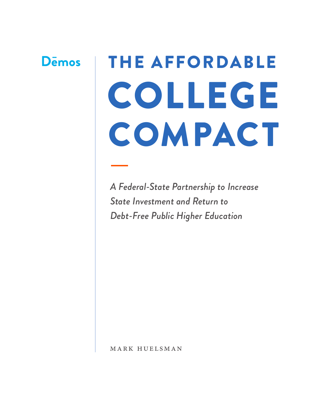# **D**emos

# THE AFFORDABLE COLLEGE COMPACT

*A Federal-State Partnership to Increase State Investment and Return to Debt-Free Public Higher Education*

mark huelsman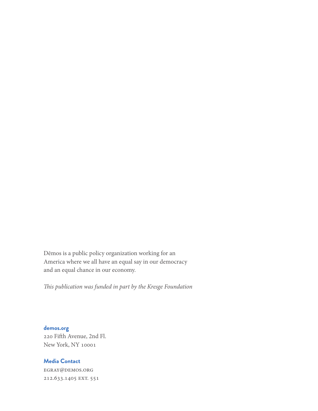Dēmos is a public policy organization working for an America where we all have an equal say in our democracy and an equal chance in our economy.

*This publication was funded in part by the Kresge Foundation*

**demos.org** 220 Fifth Avenue, 2nd Fl. New York, NY 10001

# **Media Contact**

egray@demos.org 212.633.1405 EXT. 551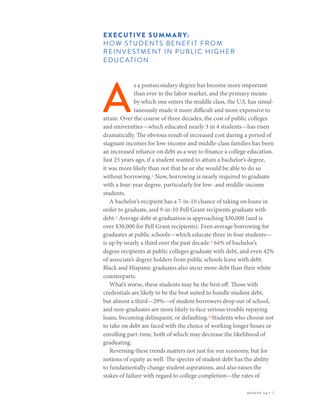# EXECUTIVE SUMMARY: HOW STUDENTS BENEFIT FROM REINVESTMENT IN PUBLIC HIGHER EDUCATION

s a postsecondary degree has become more important than ever in the labor market, and the primary means by which one enters the middle class, the U.S. has simultaneously made it more difficult and more expensive to attain. than ever in the labor market, and the primary means by which one enters the middle class, the U.S. has simultaneously made it more difficult and more expensive to and universities—which educated nearly 3 in 4 students—has risen dramatically. The obvious result of increased cost during a period of stagnant incomes for low-income and middle-class families has been an increased reliance on debt as a way to finance a college education. Just 25 years ago, if a student wanted to attain a bachelor's degree, it was more likely than not that he or she would be able to do so without borrowing.<sup>1</sup> Now, borrowing is nearly required to graduate with a four-year degree, particularly for low- and middle-income students.

A bachelor's recipient has a 7-in-10 chance of taking on loans in order to graduate, and 9-in-10 Pell Grant recipients graduate with debt.2 Average debt at graduation is approaching \$30,000 (and is over \$30,000 for Pell Grant recipients). Even average borrowing for graduates at public schools—which educate three in four students is up by nearly a third over the past decade.<sup>3</sup> 64% of bachelor's degree recipients at public colleges graduate with debt, and even 42% of associate's degree holders from public schools leave with debt. Black and Hispanic graduates also incur more debt than their white counterparts.

What's worse, these students may be the best off. Those with credentials are likely to be the best suited to handle student debt, but almost a third—29%—of student borrowers drop out of school, and non-graduates are more likely to face serious trouble repaying loans, becoming delinquent, or defaulting.<sup>4</sup> Students who choose not to take on debt are faced with the choice of working longer hours or enrolling part-time, both of which may decrease the likelihood of graduating.

Reversing these trends matters not just for our economy, but for notions of equity as well. The specter of student debt has the ability to fundamentally change student aspirations, and also raises the stakes of failure with regard to college completion—the rates of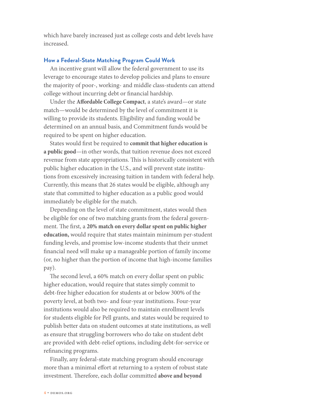which have barely increased just as college costs and debt levels have increased.

#### **How a Federal-State Matching Program Could Work**

An incentive grant will allow the federal government to use its leverage to encourage states to develop policies and plans to ensure the majority of poor-, working- and middle class-students can attend college without incurring debt or financial hardship.

Under the **Affordable College Compact**, a state's award—or state match—would be determined by the level of commitment it is willing to provide its students. Eligibility and funding would be determined on an annual basis, and Commitment funds would be required to be spent on higher education.

States would first be required to **commit that higher education is a public good**—in other words, that tuition revenue does not exceed revenue from state appropriations. This is historically consistent with public higher education in the U.S., and will prevent state institutions from excessively increasing tuition in tandem with federal help. Currently, this means that 26 states would be eligible, although any state that committed to higher education as a public good would immediately be eligible for the match.

Depending on the level of state commitment, states would then be eligible for one of two matching grants from the federal government. The first, a **20% match on every dollar spent on public higher education,** would require that states maintain minimum per-student funding levels, and promise low-income students that their unmet financial need will make up a manageable portion of family income (or, no higher than the portion of income that high-income families pay).

The second level, a 60% match on every dollar spent on public higher education, would require that states simply commit to debt-free higher education for students at or below 300% of the poverty level, at both two- and four-year institutions. Four-year institutions would also be required to maintain enrollment levels for students eligible for Pell grants, and states would be required to publish better data on student outcomes at state institutions, as well as ensure that struggling borrowers who do take on student debt are provided with debt-relief options, including debt-for-service or refinancing programs.

Finally, any federal-state matching program should encourage more than a minimal effort at returning to a system of robust state investment. Therefore, each dollar committed **above and beyond**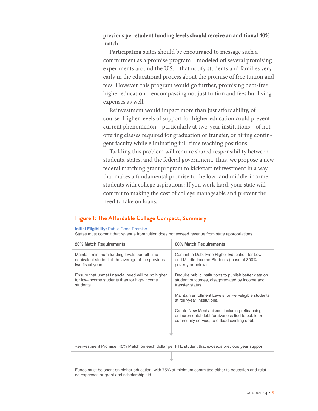#### **previous per-student funding levels should receive an additional 40% match.**

Participating states should be encouraged to message such a commitment as a promise program—modeled off several promising experiments around the U.S.—that notify students and families very early in the educational process about the promise of free tuition and fees. However, this program would go further, promising debt-free higher education—encompassing not just tuition and fees but living expenses as well.

Reinvestment would impact more than just affordability, of course. Higher levels of support for higher education could prevent current phenomenon—particularly at two-year institutions—of not offering classes required for graduation or transfer, or hiring contingent faculty while eliminating full-time teaching positions.

Tackling this problem will require shared responsibility between students, states, and the federal government. Thus, we propose a new federal matching grant program to kickstart reinvestment in a way that makes a fundamental promise to the low- and middle-income students with college aspirations: If you work hard, your state will commit to making the cost of college manageable and prevent the need to take on loans.

## **Figure 1: The Affordable College Compact, Summary**

#### **Initial Eligibility:** Public Good Promise

States must commit that revenue from tuition does not exceed revenue from state appropriations.

| 20% Match Requirements                                                                                                  | 60% Match Requirements                                                                                                                             |
|-------------------------------------------------------------------------------------------------------------------------|----------------------------------------------------------------------------------------------------------------------------------------------------|
| Maintain minimum funding levels per full-time<br>equivalent student at the average of the previous<br>two fiscal years. | Commit to Debt-Free Higher Education for Low-<br>and Middle-Income Students (those at 300%<br>poverty or below)                                    |
| Ensure that unmet financial need will be no higher<br>for low-income students than for high-income<br>students.         | Require public institutions to publish better data on<br>student outcomes, disaggregated by income and<br>transfer status                          |
|                                                                                                                         | Maintain enrollment Levels for Pell-eligible students<br>at four-year Institutions.                                                                |
|                                                                                                                         | Create New Mechanisms, including refinancing,<br>or incremental debt forgiveness tied to public or<br>community service, to offload existing debt. |
|                                                                                                                         |                                                                                                                                                    |
|                                                                                                                         |                                                                                                                                                    |

Reinvestment Promise: 40% Match on each dollar per FTE student that exceeds previous year support

Funds must be spent on higher education, with 75% at minimum committed either to education and related expenses or grant and scholarship aid.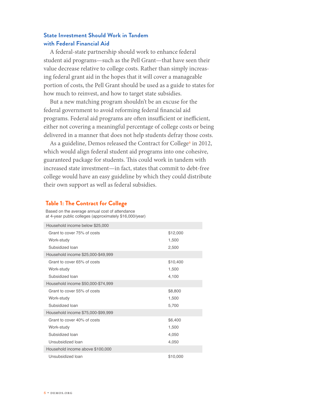# **State Investment Should Work in Tandem with Federal Financial Aid**

A federal-state partnership should work to enhance federal student aid programs—such as the Pell Grant—that have seen their value decrease relative to college costs. Rather than simply increasing federal grant aid in the hopes that it will cover a manageable portion of costs, the Pell Grant should be used as a guide to states for how much to reinvest, and how to target state subsidies.

But a new matching program shouldn't be an excuse for the federal government to avoid reforming federal financial aid programs. Federal aid programs are often insufficient or inefficient, either not covering a meaningful percentage of college costs or being delivered in a manner that does not help students defray those costs.

As a guideline, Demos released the Contract for College<sup>5</sup> in 2012, which would align federal student aid programs into one cohesive, guaranteed package for students. This could work in tandem with increased state investment—in fact, states that commit to debt-free college would have an easy guideline by which they could distribute their own support as well as federal subsidies.

#### **Table 1: The Contract for College**

Based on the average annual cost of attendance at 4-year public colleges (approximately \$16,000/year)

| Household income below \$25,000    |          |
|------------------------------------|----------|
| Grant to cover 75% of costs        | \$12,000 |
| Work-study                         | 1,500    |
| Subsidized Ioan                    | 2,500    |
| Household income \$25,000-\$49,999 |          |
| Grant to cover 65% of costs        | \$10,400 |
| Work-study                         | 1,500    |
| Subsidized loan                    | 4,100    |
| Household income \$50,000-\$74,999 |          |
| Grant to cover 55% of costs        | \$8,800  |
| Work-study                         | 1,500    |
| Subsidized loan                    | 5,700    |
| Household income \$75,000-\$99,999 |          |
| Grant to cover 40% of costs        | \$6,400  |
| Work-study                         | 1,500    |
| Subsidized loan                    | 4,050    |
| Unsubsidized loan                  | 4,050    |
| Household income above \$100,000   |          |
| Unsubsidized Ioan                  | \$10,000 |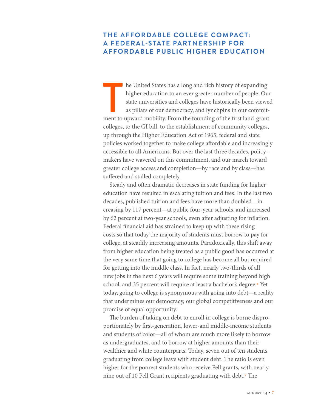# **THE AFFORDABLE COLLEGE COMPACT: A FEDERAL-STATE PARTNERSHIP FOR AFFORDABLE PUBLIC HIGHER EDUCATION**

The United States has a long and rich history of expanding higher education to an ever greater number of people. Our state universities and colleges have historically been viewed as pillars of our democracy, and lynchpins he United States has a long and rich history of expanding higher education to an ever greater number of people. Our state universities and colleges have historically been viewed as pillars of our democracy, and lynchpins in our commitcolleges, to the GI bill, to the establishment of community colleges, up through the Higher Education Act of 1965, federal and state policies worked together to make college affordable and increasingly accessible to all Americans. But over the last three decades, policymakers have wavered on this commitment, and our march toward greater college access and completion—by race and by class—has suffered and stalled completely.

Steady and often dramatic decreases in state funding for higher education have resulted in escalating tuition and fees. In the last two decades, published tuition and fees have more than doubled—increasing by 117 percent—at public four-year schools, and increased by 62 percent at two-year schools, even after adjusting for inflation. Federal financial aid has strained to keep up with these rising costs so that today the majority of students must borrow to pay for college, at steadily increasing amounts. Paradoxically, this shift away from higher education being treated as a public good has occurred at the very same time that going to college has become all but required for getting into the middle class. In fact, nearly two-thirds of all new jobs in the next 6 years will require some training beyond high school, and 35 percent will require at least a bachelor's degree.<sup>6</sup> Yet today, going to college is synonymous with going into debt—a reality that undermines our democracy, our global competitiveness and our promise of equal opportunity.

The burden of taking on debt to enroll in college is borne disproportionately by first-generation, lower-and middle-income students and students of color—all of whom are much more likely to borrow as undergraduates, and to borrow at higher amounts than their wealthier and white counterparts. Today, seven out of ten students graduating from college leave with student debt. The ratio is even higher for the poorest students who receive Pell grants, with nearly nine out of 10 Pell Grant recipients graduating with debt.7 The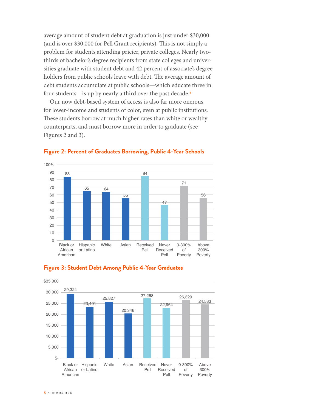average amount of student debt at graduation is just under \$30,000 (and is over \$30,000 for Pell Grant recipients). This is not simply a problem for students attending pricier, private colleges. Nearly twothirds of bachelor's degree recipients from state colleges and universities graduate with student debt and 42 percent of associate's degree holders from public schools leave with debt. The average amount of debt students accumulate at public schools—which educate three in four students—is up by nearly a third over the past decade.<sup>8</sup>

Our now debt-based system of access is also far more onerous for lower-income and students of color, even at public institutions. These students borrow at much higher rates than white or wealthy counterparts, and must borrow more in order to graduate (see Figures 2 and 3).



#### **Figure 2: Percent of Graduates Borrowing, Public 4-Year Schools**



#### **Figure 3: Student Debt Among Public 4-Year Graduates**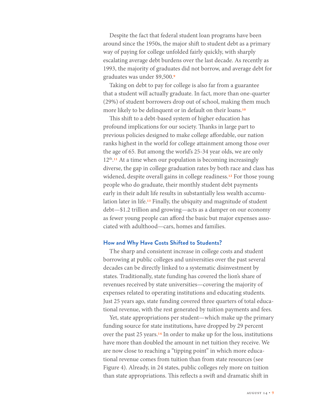Despite the fact that federal student loan programs have been around since the 1950s, the major shift to student debt as a primary way of paying for college unfolded fairly quickly, with sharply escalating average debt burdens over the last decade. As recently as 1993, the majority of graduates did not borrow, and average debt for graduates was under \$9,500.9

Taking on debt to pay for college is also far from a guarantee that a student will actually graduate. In fact, more than one-quarter (29%) of student borrowers drop out of school, making them much more likely to be delinquent or in default on their loans.<sup>10</sup>

This shift to a debt-based system of higher education has profound implications for our society. Thanks in large part to previous policies designed to make college affordable, our nation ranks highest in the world for college attainment among those over the age of 65. But among the world's 25-34 year olds, we are only  $12<sup>th</sup>$ .<sup>11</sup> At a time when our population is becoming increasingly diverse, the gap in college graduation rates by both race and class has widened, despite overall gains in college readiness.<sup>12</sup> For those young people who do graduate, their monthly student debt payments early in their adult life results in substantially less wealth accumulation later in life.<sup>13</sup> Finally, the ubiquity and magnitude of student debt—\$1.2 trillion and growing—acts as a damper on our economy as fewer young people can afford the basic but major expenses associated with adulthood—cars, homes and families.

#### **How and Why Have Costs Shifted to Students?**

The sharp and consistent increase in college costs and student borrowing at public colleges and universities over the past several decades can be directly linked to a systematic disinvestment by states. Traditionally, state funding has covered the lion's share of revenues received by state universities—covering the majority of expenses related to operating institutions and educating students. Just 25 years ago, state funding covered three quarters of total educational revenue, with the rest generated by tuition payments and fees.

Yet, state appropriations per student—which make up the primary funding source for state institutions, have dropped by 29 percent over the past 25 years.14 In order to make up for the loss, institutions have more than doubled the amount in net tuition they receive. We are now close to reaching a "tipping point" in which more educational revenue comes from tuition than from state resources (see Figure 4). Already, in 24 states, public colleges rely more on tuition than state appropriations. This reflects a swift and dramatic shift in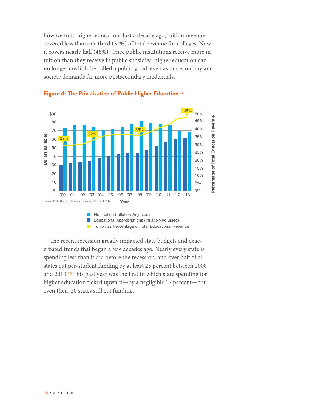how we fund higher education. Just a decade ago, tuition revenue covered less than one third (32%) of total revenue for colleges. Now it covers nearly half (48%). Once public institutions receive more in tuition than they receive in public subsidies, higher education can no longer credibly be called a public good, even as our economy and society demands far more postsecondary credentials.





The recent recession greatly impacted state budgets and exacerbated trends that began a few decades ago. Nearly every state is spending less than it did before the recession, and over half of all states cut per-student funding by at least 25 percent between 2008 and 2013.16 This past year was the first in which state spending for higher education ticked upward—by a negligible 1.4percent—but even then, 20 states still cut funding.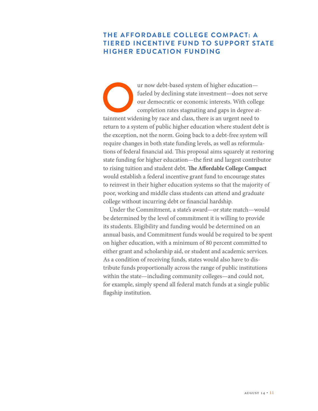# **THE AFFORDABLE COLLEGE COMPACT: A TIERED INCENTIVE FUND TO SUPPORT STATE HIGHER EDUCATION FUNDING**

The urnow debt-based system of higher education—<br>fueled by declining state investment—does not see<br>our democratic or economic interests. With colleg<br>completion rates stagnating and gaps in degree at-<br>tainment widening by r fueled by declining state investment—does not serve our democratic or economic interests. With college completion rates stagnating and gaps in degree atreturn to a system of public higher education where student debt is the exception, not the norm. Going back to a debt-free system will require changes in both state funding levels, as well as reformulations of federal financial aid. This proposal aims squarely at restoring state funding for higher education—the first and largest contributor to rising tuition and student debt. **The Affordable College Compact**  would establish a federal incentive grant fund to encourage states to reinvest in their higher education systems so that the majority of poor, working and middle class students can attend and graduate college without incurring debt or financial hardship.

Under the Commitment, a state's award—or state match—would be determined by the level of commitment it is willing to provide its students. Eligibility and funding would be determined on an annual basis, and Commitment funds would be required to be spent on higher education, with a minimum of 80 percent committed to either grant and scholarship aid, or student and academic services. As a condition of receiving funds, states would also have to distribute funds proportionally across the range of public institutions within the state—including community colleges—and could not, for example, simply spend all federal match funds at a single public flagship institution.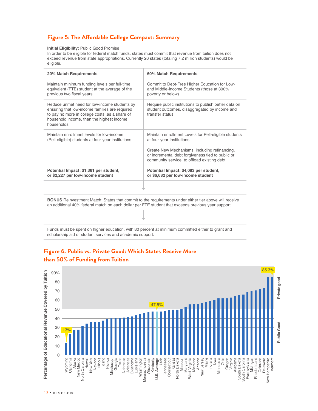# **Figure 5: The Affordable College Compact: Summary**

#### **Initial Eligibility:** Public Good Promise

In order to be eligible for federal match funds, states must commit that revenue from tuition does not exceed revenue from state appropriations. Currently 26 states (totaling 7.2 million students) would be eligible.

| 20% Match Requirements                                                                                                                                                                                             | 60% Match Requirements                                                                                                                             |  |  |  |  |
|--------------------------------------------------------------------------------------------------------------------------------------------------------------------------------------------------------------------|----------------------------------------------------------------------------------------------------------------------------------------------------|--|--|--|--|
| Maintain minimum funding levels per full-time<br>equivalent (FTE) student at the average of the<br>previous two fiscal years.                                                                                      | Commit to Debt-Free Higher Education for Low-<br>and Middle-Income Students (those at 300%<br>poverty or below)                                    |  |  |  |  |
| Reduce unmet need for low-income students by<br>ensuring that low-income families are required<br>to pay no more in college costs , as a share of<br>household income, than the highest income<br>households       | Require public institutions to publish better data on<br>student outcomes, disaggregated by income and<br>transfer status                          |  |  |  |  |
| Maintain enrollment levels for low-income<br>(Pell-eligible) students at four-year institutions                                                                                                                    | Maintain enrollment Levels for Pell-eligible students<br>at four-year Institutions.                                                                |  |  |  |  |
|                                                                                                                                                                                                                    | Create New Mechanisms, including refinancing,<br>or incremental debt forgiveness tied to public or<br>community service, to offload existing debt. |  |  |  |  |
| Potential Impact: \$1,361 per student,<br>or \$2,227 per low-income student                                                                                                                                        | Potential Impact: \$4,083 per student,<br>or \$6,682 per low-income student                                                                        |  |  |  |  |
|                                                                                                                                                                                                                    |                                                                                                                                                    |  |  |  |  |
| <b>BONUS</b> Reinvestment Match: States that commit to the requirements under either tier above will receive<br>an additional 40% federal match on each dollar per FTE student that exceeds previous year support. |                                                                                                                                                    |  |  |  |  |
|                                                                                                                                                                                                                    |                                                                                                                                                    |  |  |  |  |

Funds must be spent on higher education, with 80 percent at minimum committed either to grant and scholarship aid or student services and academic support.



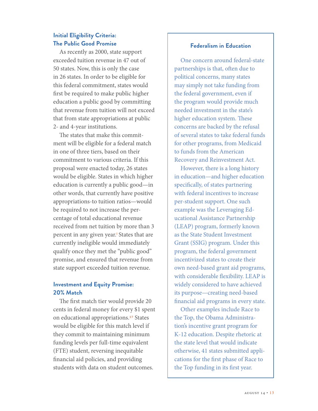# **Initial Eligibility Criteria: The Public Good Promise**

As recently as 2000, state support exceeded tuition revenue in 47 out of 50 states. Now, this is only the case in 26 states. In order to be eligible for this federal commitment, states would first be required to make public higher education a public good by committing that revenue from tuition will not exceed that from state appropriations at public 2- and 4-year institutions.

The states that make this commitment will be eligible for a federal match in one of three tiers, based on their commitment to various criteria. If this proposal were enacted today, 26 states would be eligible. States in which higher education is currently a public good—in other words, that currently have positive appropriations-to tuition ratios—would be required to not increase the percentage of total educational revenue received from net tuition by more than 3 percent in any given year.<sup>i</sup> States that are currently ineligible would immediately qualify once they met the "public good" promise, and ensured that revenue from state support exceeded tuition revenue.

# **Investment and Equity Promise: 20% Match**

The first match tier would provide 20 cents in federal money for every \$1 spent on educational appropriations.17 States would be eligible for this match level if they commit to maintaining minimum funding levels per full-time equivalent (FTE) student, reversing inequitable financial aid policies, and providing students with data on student outcomes.

#### **Federalism in Education**

One concern around federal-state partnerships is that, often due to political concerns, many states may simply not take funding from the federal government, even if the program would provide much needed investment in the state's higher education system. These concerns are backed by the refusal of several states to take federal funds for other programs, from Medicaid to funds from the American Recovery and Reinvestment Act.

However, there is a long history in education—and higher education specifically, of states partnering with federal incentives to increase per-student support. One such example was the Leveraging Educational Assistance Partnership (LEAP) program, formerly known as the State Student Investment Grant (SSIG) program. Under this program, the federal government incentivized states to create their own need-based grant aid programs, with considerable flexibility. LEAP is widely considered to have achieved its purpose—creating need-based financial aid programs in every state.

Other examples include Race to the Top, the Obama Administration's incentive grant program for K-12 education. Despite rhetoric at the state level that would indicate otherwise, 41 states submitted applications for the first phase of Race to the Top funding in its first year.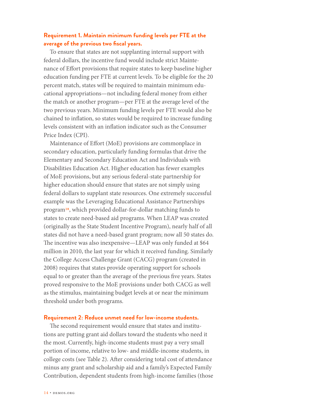## **Requirement 1. Maintain minimum funding levels per FTE at the average of the previous two fiscal years.**

To ensure that states are not supplanting internal support with federal dollars, the incentive fund would include strict Maintenance of Effort provisions that require states to keep baseline higher education funding per FTE at current levels. To be eligible for the 20 percent match, states will be required to maintain minimum educational appropriations—not including federal money from either the match or another program—per FTE at the average level of the two previous years. Minimum funding levels per FTE would also be chained to inflation, so states would be required to increase funding levels consistent with an inflation indicator such as the Consumer Price Index (CPI).

Maintenance of Effort (MoE) provisions are commonplace in secondary education, particularly funding formulas that drive the Elementary and Secondary Education Act and Individuals with Disabilities Education Act. Higher education has fewer examples of MoE provisions, but any serious federal-state partnership for higher education should ensure that states are not simply using federal dollars to supplant state resources. One extremely successful example was the Leveraging Educational Assistance Partnerships program18, which provided dollar-for-dollar matching funds to states to create need-based aid programs. When LEAP was created (originally as the State Student Incentive Program), nearly half of all states did not have a need-based grant program; now all 50 states do. The incentive was also inexpensive—LEAP was only funded at \$64 million in 2010, the last year for which it received funding. Similarly the College Access Challenge Grant (CACG) program (created in 2008) requires that states provide operating support for schools equal to or greater than the average of the previous five years. States proved responsive to the MoE provisions under both CACG as well as the stimulus, maintaining budget levels at or near the minimum threshold under both programs.

#### **Requirement 2: Reduce unmet need for low-income students.**

The second requirement would ensure that states and institutions are putting grant aid dollars toward the students who need it the most. Currently, high-income students must pay a very small portion of income, relative to low- and middle-income students, in college costs (see Table 2). After considering total cost of attendance minus any grant and scholarship aid and a family's Expected Family Contribution, dependent students from high-income families (those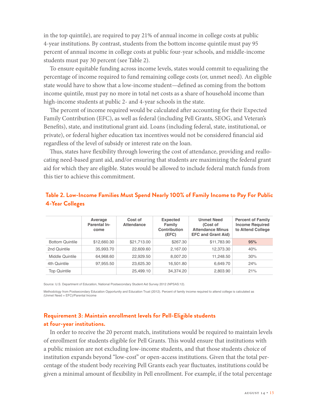in the top quintile), are required to pay 21% of annual income in college costs at public 4-year institutions. By contrast, students from the bottom income quintile must pay 95 percent of annual income in college costs at public four-year schools, and middle-income students must pay 30 percent (see Table 2).

To ensure equitable funding across income levels, states would commit to equalizing the percentage of income required to fund remaining college costs (or, unmet need). An eligible state would have to show that a low-income student—defined as coming from the bottom income quintile, must pay no more in total net costs as a share of household income than high-income students at public 2- and 4-year schools in the state.

The percent of income required would be calculated after accounting for their Expected Family Contribution (EFC), as well as federal (including Pell Grants, SEOG, and Veteran's Benefits), state, and institutional grant aid. Loans (including federal, state, institutional, or private), or federal higher education tax incentives would not be considered financial aid regardless of the level of subsidy or interest rate on the loan.

Thus, states have flexibility through lowering the cost of attendance, providing and reallocating need-based grant aid, and/or ensuring that students are maximizing the federal grant aid for which they are eligible. States would be allowed to include federal match funds from this tier to achieve this commitment.

|                        | Average<br>Parental In-<br>come | Cost of<br><b>Attendance</b> | <b>Expected</b><br>Family<br>Contribution<br>(EFC) | <b>Unmet Need</b><br>(Cost of<br><b>Attendance Minus</b><br><b>EFC and Grant Aid)</b> | <b>Percent of Family</b><br><b>Income Required</b><br>to Attend College |  |
|------------------------|---------------------------------|------------------------------|----------------------------------------------------|---------------------------------------------------------------------------------------|-------------------------------------------------------------------------|--|
| <b>Bottom Quintile</b> | \$12,660.30                     | \$21,713.00                  | \$267.30                                           | \$11,783.90                                                                           | 95%                                                                     |  |
| 2nd Quintile           | 35,993.70                       | 22,609.60                    | 2,167.00                                           | 12,373.30                                                                             | 40%                                                                     |  |
| Middle Quintile        | 64,968.60                       | 22.929.50                    | 8,007.20                                           | 11.248.50                                                                             | 30%                                                                     |  |
| 4th Quintile           | 97,955.50                       | 23,625.30                    | 16,501.80                                          | 6,649.70                                                                              | 24%                                                                     |  |
| <b>Top Quintile</b>    |                                 | 25,499.10                    | 34,374.20                                          | 2,803.90                                                                              | 21%                                                                     |  |

# **Table 2. Low-Income Families Must Spend Nearly 100% of Family Income to Pay For Public 4-Year Colleges**

Source: U.S. Department of Education, National Postsecondary Student Aid Survey 2012 (NPSAS:12).

Methodology from Postsecondary Education Opportunity and Education Trust (2012). Percent of family income required to attend college is calculated as (Unmet Need + EFC)/Parental Income

# **Requirement 3: Maintain enrollment levels for Pell-Eligible students at four-year institutions.**

In order to receive the 20 percent match, institutions would be required to maintain levels of enrollment for students eligible for Pell Grants. This would ensure that institutions with a public mission are not excluding low-income students, and that those students choice of institution expands beyond "low-cost" or open-access institutions. Given that the total percentage of the student body receiving Pell Grants each year fluctuates, institutions could be given a minimal amount of flexibility in Pell enrollment. For example, if the total percentage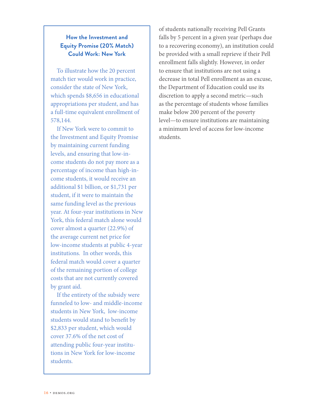# **How the Investment and Equity Promise (20% Match) Could Work: New York**

To illustrate how the 20 percent match tier would work in practice, consider the state of New York, which spends \$8,656 in educational appropriations per student, and has a full-time equivalent enrollment of 578,144.

If New York were to commit to the Investment and Equity Promise by maintaining current funding levels, and ensuring that low-income students do not pay more as a percentage of income than high-income students, it would receive an additional \$1 billion, or \$1,731 per student, if it were to maintain the same funding level as the previous year. At four-year institutions in New York, this federal match alone would cover almost a quarter (22.9%) of the average current net price for low-income students at public 4-year institutions. In other words, this federal match would cover a quarter of the remaining portion of college costs that are not currently covered by grant aid.

If the entirety of the subsidy were funneled to low- and middle-income students in New York, low-income students would stand to benefit by \$2,833 per student, which would cover 37.6% of the net cost of attending public four-year institutions in New York for low-income students.

of students nationally receiving Pell Grants falls by 5 percent in a given year (perhaps due to a recovering economy), an institution could be provided with a small reprieve if their Pell enrollment falls slightly. However, in order to ensure that institutions are not using a decrease in total Pell enrollment as an excuse, the Department of Education could use its discretion to apply a second metric—such as the percentage of students whose families make below 200 percent of the poverty level—to ensure institutions are maintaining a minimum level of access for low-income students.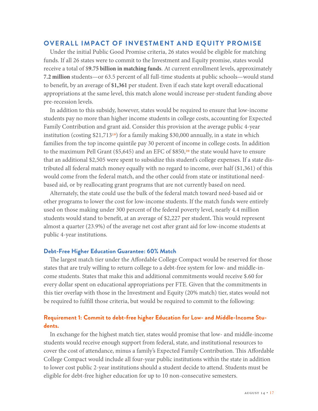#### **OVERALL IMPACT OF INVESTMENT AND EQUITY PROMISE**

Under the initial Public Good Promise criteria, 26 states would be eligible for matching funds. If all 26 states were to commit to the Investment and Equity promise, states would receive a total of \$**9.75 billion in matching funds**. At current enrollment levels, approximately **7.2 million** students—or 63.5 percent of all full-time students at public schools—would stand to benefit, by an average of **\$1,361** per student. Even if each state kept overall educational appropriations at the same level, this match alone would increase per-student funding above pre-recession levels.

In addition to this subsidy, however, states would be required to ensure that low-income students pay no more than higher income students in college costs, accounting for Expected Family Contribution and grant aid. Consider this provision at the average public 4-year institution (costing  $$21,713^{19}$ ) for a family making \$30,000 annually, in a state in which families from the top income quintile pay 30 percent of income in college costs. In addition to the maximum Pell Grant (\$5,645) and an EFC of  $$850<sub>2</sub>°$  the state would have to ensure that an additional \$2,505 were spent to subsidize this student's college expenses. If a state distributed all federal match money equally with no regard to income, over half (\$1,361) of this would come from the federal match, and the other could from state or institutional needbased aid, or by reallocating grant programs that are not currently based on need.

Alternately, the state could use the bulk of the federal match toward need-based aid or other programs to lower the cost for low-income students. If the match funds were entirely used on those making under 300 percent of the federal poverty level, nearly 4.4 million students would stand to benefit, at an average of \$2,227 per student**.** This would represent almost a quarter (23.9%) of the average net cost after grant aid for low-income students at public 4-year institutions.

#### **Debt-Free Higher Education Guarantee: 60% Match**

The largest match tier under the Affordable College Compact would be reserved for those states that are truly willing to return college to a debt-free system for low- and middle-income students. States that make this and additional commitments would receive \$.60 for every dollar spent on educational appropriations per FTE. Given that the commitments in this tier overlap with those in the Investment and Equity (20% match) tier, states would not be required to fulfill those criteria, but would be required to commit to the following:

#### **Requirement 1: Commit to debt-free higher Education for Low- and Middle-Income Students.**

In exchange for the highest match tier, states would promise that low- and middle-income students would receive enough support from federal, state, and institutional resources to cover the cost of attendance, minus a family's Expected Family Contribution. This Affordable College Compact would include all four-year public institutions within the state in addition to lower cost public 2-year institutions should a student decide to attend. Students must be eligible for debt-free higher education for up to 10 non-consecutive semesters.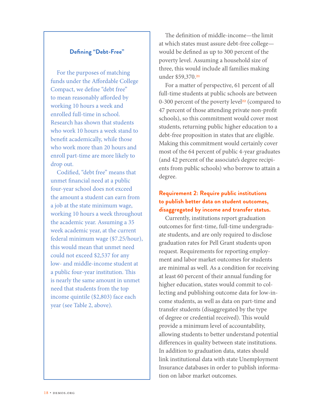#### **Defining "Debt-Free"**

For the purposes of matching funds under the Affordable College Compact, we define "debt free" to mean reasonably afforded by working 10 hours a week and enrolled full-time in school. Research has shown that students who work 10 hours a week stand to benefit academically, while those who work more than 20 hours and enroll part-time are more likely to drop out.

Codified, "debt free" means that unmet financial need at a public four-year school does not exceed the amount a student can earn from a job at the state minimum wage, working 10 hours a week throughout the academic year. Assuming a 35 week academic year, at the current federal minimum wage (\$7.25/hour), this would mean that unmet need could not exceed \$2,537 for any low- and middle-income student at a public four-year institution. This is nearly the same amount in unmet need that students from the top income quintile (\$2,803) face each year (see Table 2, above).

The definition of middle-income—the limit at which states must assure debt-free college would be defined as up to 300 percent of the poverty level. Assuming a household size of three, this would include all families making under \$59,370.21

For a matter of perspective, 61 percent of all full-time students at public schools are between 0-300 percent of the poverty level<sup>22</sup> (compared to 47 percent of those attending private non-profit schools), so this commitment would cover most students, returning public higher education to a debt-free proposition in states that are eligible. Making this commitment would certainly cover most of the 64 percent of public 4-year graduates (and 42 percent of the associate's degree recipients from public schools) who borrow to attain a degree.

# **Requirement 2: Require public institutions to publish better data on student outcomes, disaggregated by income and transfer status.**

Currently, institutions report graduation outcomes for first-time, full-time undergraduate students, and are only required to disclose graduation rates for Pell Grant students upon request. Requirements for reporting employment and labor market outcomes for students are minimal as well. As a condition for receiving at least 60 percent of their annual funding for higher education, states would commit to collecting and publishing outcome data for low-income students, as well as data on part-time and transfer students (disaggregated by the type of degree or credential received). This would provide a minimum level of accountability, allowing students to better understand potential differences in quality between state institutions. In addition to graduation data, states should link institutional data with state Unemployment Insurance databases in order to publish information on labor market outcomes.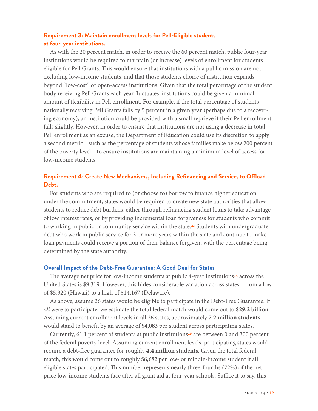# **Requirement 3: Maintain enrollment levels for Pell-Eligible students at four-year institutions.**

As with the 20 percent match, in order to receive the 60 percent match, public four-year institutions would be required to maintain (or increase) levels of enrollment for students eligible for Pell Grants. This would ensure that institutions with a public mission are not excluding low-income students, and that those students choice of institution expands beyond "low-cost" or open-access institutions. Given that the total percentage of the student body receiving Pell Grants each year fluctuates, institutions could be given a minimal amount of flexibility in Pell enrollment. For example, if the total percentage of students nationally receiving Pell Grants falls by 5 percent in a given year (perhaps due to a recovering economy), an institution could be provided with a small reprieve if their Pell enrollment falls slightly. However, in order to ensure that institutions are not using a decrease in total Pell enrollment as an excuse, the Department of Education could use its discretion to apply a second metric—such as the percentage of students whose families make below 200 percent of the poverty level—to ensure institutions are maintaining a minimum level of access for low-income students.

# **Requirement 4: Create New Mechanisms, Including Refinancing and Service, to Offload Debt.**

For students who are required to (or choose to) borrow to finance higher education under the commitment, states would be required to create new state authorities that allow students to reduce debt burdens, either through refinancing student loans to take advantage of low interest rates, or by providing incremental loan forgiveness for students who commit to working in public or community service within the state.<sup>23</sup> Students with undergraduate debt who work in public service for 3 or more years within the state and continue to make loan payments could receive a portion of their balance forgiven, with the percentage being determined by the state authority.

#### **Overall Impact of the Debt-Free Guarantee: A Good Deal for States**

The average net price for low-income students at public 4-year institutions<sup>24</sup> across the United States is \$9,319. However, this hides considerable variation across states—from a low of \$5,920 (Hawaii) to a high of \$14,167 (Delaware).

As above, assume 26 states would be eligible to participate in the Debt-Free Guarantee. If *all* were to participate, we estimate the total federal match would come out to **\$29.2 billion**. Assuming current enrollment levels in all 26 states, approximately **7.2 million students** would stand to benefit by an average of **\$4,083** per student across participating states.

Currently, 61.1 percent of students at public institutions<sup>25</sup> are between 0 and 300 percent of the federal poverty level. Assuming current enrollment levels, participating states would require a debt-free guarantee for roughly **4.4 million students**. Given the total federal match, this would come out to roughly **\$6,682** per low- or middle-income student if all eligible states participated. This number represents nearly three-fourths (72%) of the net price low-income students face after all grant aid at four-year schools. Suffice it to say, this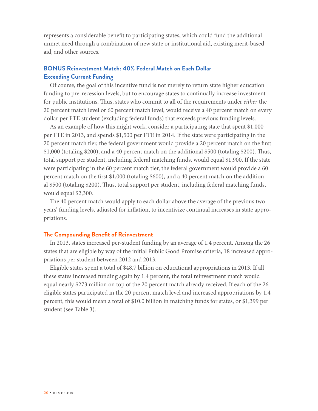represents a considerable benefit to participating states, which could fund the additional unmet need through a combination of new state or institutional aid, existing merit-based aid, and other sources.

# **BONUS Reinvestment Match: 40% Federal Match on Each Dollar Exceeding Current Funding**

Of course, the goal of this incentive fund is not merely to return state higher education funding to pre-recession levels, but to encourage states to continually increase investment for public institutions. Thus, states who commit to all of the requirements under *either* the 20 percent match level or 60 percent match level, would receive a 40 percent match on every dollar per FTE student (excluding federal funds) that exceeds previous funding levels.

As an example of how this might work, consider a participating state that spent \$1,000 per FTE in 2013, and spends \$1,500 per FTE in 2014. If the state were participating in the 20 percent match tier, the federal government would provide a 20 percent match on the first \$1,000 (totaling \$200), and a 40 percent match on the additional \$500 (totaling \$200). Thus, total support per student, including federal matching funds, would equal \$1,900. If the state were participating in the 60 percent match tier, the federal government would provide a 60 percent match on the first \$1,000 (totaling \$600), and a 40 percent match on the additional \$500 (totaling \$200). Thus, total support per student, including federal matching funds, would equal \$2,300.

The 40 percent match would apply to each dollar above the average of the previous two years' funding levels, adjusted for inflation, to incentivize continual increases in state appropriations.

#### **The Compounding Benefit of Reinvestment**

In 2013, states increased per-student funding by an average of 1.4 percent. Among the 26 states that are eligible by way of the initial Public Good Promise criteria, 18 increased appropriations per student between 2012 and 2013.

Eligible states spent a total of \$48.7 billion on educational appropriations in 2013. If all these states increased funding again by 1.4 percent, the total reinvestment match would equal nearly \$273 million on top of the 20 percent match already received. If each of the 26 eligible states participated in the 20 percent match level and increased appropriations by 1.4 percent, this would mean a total of \$10.0 billion in matching funds for states, or \$1,399 per student (see Table 3).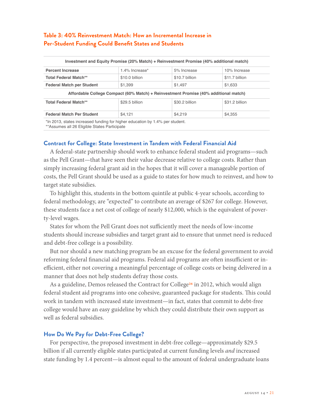# **Table 3: 40% Reinvestment Match: How an Incremental Increase in Per-Student Funding Could Benefit States and Students**

|                                                                                                | Investment and Equity Promise (20% Match) + Reinvestment Promise (40% additional match) |                |                |
|------------------------------------------------------------------------------------------------|-----------------------------------------------------------------------------------------|----------------|----------------|
| <b>Percent Increase</b>                                                                        | 1.4% Increase*                                                                          | 5% Increase    | 10% Increase   |
| <b>Total Federal Match**</b>                                                                   | \$10.0 billion                                                                          | \$10.7 billion | \$11.7 billion |
| <b>Federal Match per Student</b>                                                               | \$1,399                                                                                 | \$1,497        | \$1,633        |
|                                                                                                | Affordable College Compact (60% Match) + Reinvestment Promise (40% additional match)    |                |                |
| <b>Total Federal Match**</b>                                                                   | \$29.5 billion                                                                          | \$30.2 billion | \$31.2 billion |
| <b>Federal Match Per Student</b>                                                               | \$4,121                                                                                 | \$4.219        | \$4,355        |
| *La OOJO istatista based as alternative that believe subsequently a line of tool as a studient |                                                                                         |                |                |

\*In 2013, states increased funding for higher education by 1.4% per student.

\*\*Assumes all 26 Eligible States Participate

#### **Contract for College: State Investment in Tandem with Federal Financial Aid**

A federal-state partnership should work to enhance federal student aid programs—such as the Pell Grant—that have seen their value decrease relative to college costs. Rather than simply increasing federal grant aid in the hopes that it will cover a manageable portion of costs, the Pell Grant should be used as a guide to states for how much to reinvest, and how to target state subsidies.

To highlight this, students in the bottom quintile at public 4-year schools, according to federal methodology, are "expected" to contribute an average of \$267 for college. However, these students face a net cost of college of nearly \$12,000, which is the equivalent of poverty-level wages.

States for whom the Pell Grant does not sufficiently meet the needs of low-income students should increase subsidies and target grant aid to ensure that unmet need is reduced and debt-free college is a possibility.

But nor should a new matching program be an excuse for the federal government to avoid reforming federal financial aid programs. Federal aid programs are often insufficient or inefficient, either not covering a meaningful percentage of college costs or being delivered in a manner that does not help students defray those costs.

As a guideline, Demos released the Contract for College<sup>26</sup> in 2012, which would align federal student aid programs into one cohesive, guaranteed package for students. This could work in tandem with increased state investment—in fact, states that commit to debt-free college would have an easy guideline by which they could distribute their own support as well as federal subsidies.

#### **How Do We Pay for Debt-Free College?**

For perspective, the proposed investment in debt-free college—approximately \$29.5 billion if all currently eligible states participated at current funding levels *and* increased state funding by 1.4 percent—is almost equal to the amount of federal undergraduate loans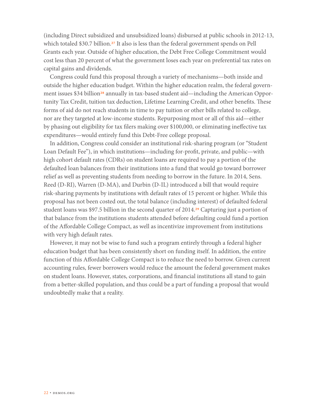(including Direct subsidized and unsubsidized loans) disbursed at public schools in 2012-13, which totaled \$30.7 billion.<sup>27</sup> It also is less than the federal government spends on Pell Grants each year. Outside of higher education, the Debt Free College Commitment would cost less than 20 percent of what the government loses each year on preferential tax rates on capital gains and dividends.

Congress could fund this proposal through a variety of mechanisms—both inside and outside the higher education budget. Within the higher education realm, the federal government issues \$34 billion<sup>28</sup> annually in tax-based student aid—including the American Opportunity Tax Credit, tuition tax deduction, Lifetime Learning Credit, and other benefits. These forms of aid do not reach students in time to pay tuition or other bills related to college, nor are they targeted at low-income students. Repurposing most or all of this aid—either by phasing out eligibility for tax filers making over \$100,000, or eliminating ineffective tax expenditures—would entirely fund this Debt-Free college proposal.

In addition, Congress could consider an institutional risk-sharing program (or "Student Loan Default Fee"), in which institutions—including for-profit, private, and public—with high cohort default rates (CDRs) on student loans are required to pay a portion of the defaulted loan balances from their institutions into a fund that would go toward borrower relief as well as preventing students from needing to borrow in the future. In 2014, Sens. Reed (D-RI), Warren (D-MA), and Durbin (D-IL) introduced a bill that would require risk-sharing payments by institutions with default rates of 15 percent or higher. While this proposal has not been costed out, the total balance (including interest) of defaulted federal student loans was \$97.5 billion in the second quarter of 2014.<sup>29</sup> Capturing just a portion of that balance from the institutions students attended before defaulting could fund a portion of the Affordable College Compact, as well as incentivize improvement from institutions with very high default rates.

However, it may not be wise to fund such a program entirely through a federal higher education budget that has been consistently short on funding itself. In addition, the entire function of this Affordable College Compact is to reduce the need to borrow. Given current accounting rules, fewer borrowers would reduce the amount the federal government makes on student loans. However, states, corporations, and financial institutions all stand to gain from a better-skilled population, and thus could be a part of funding a proposal that would undoubtedly make that a reality.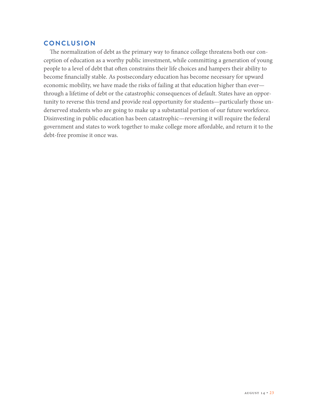# **CONCLUSION**

The normalization of debt as the primary way to finance college threatens both our conception of education as a worthy public investment, while committing a generation of young people to a level of debt that often constrains their life choices and hampers their ability to become financially stable. As postsecondary education has become necessary for upward economic mobility, we have made the risks of failing at that education higher than ever through a lifetime of debt or the catastrophic consequences of default. States have an opportunity to reverse this trend and provide real opportunity for students—particularly those underserved students who are going to make up a substantial portion of our future workforce. Disinvesting in public education has been catastrophic—reversing it will require the federal government and states to work together to make college more affordable, and return it to the debt-free promise it once was.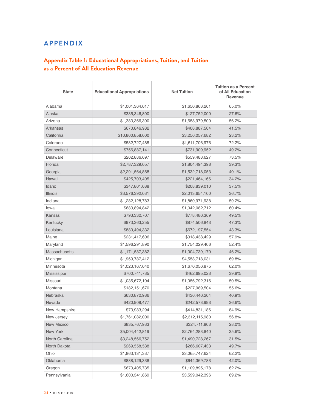# **APPENDIX**

# **Appendix Table 1: Educational Appropriations, Tuition, and Tuition as a Percent of All Education Revenue**

| <b>State</b>    | <b>Educational Appropriations</b> | <b>Net Tuition</b> | <b>Tuition as a Percent</b><br>of All Education<br>Revenue |
|-----------------|-----------------------------------|--------------------|------------------------------------------------------------|
| Alabama         | \$1,001,364,017                   | \$1,650,863,201    | 65.0%                                                      |
| Alaska          | \$335,346,800                     | \$127,752,000      | 27.6%                                                      |
| Arizona         | \$1,383,366,300                   | \$1,658,979,500    | 56.2%                                                      |
| Arkansas        | \$670,846,982                     | \$408,887,504      | 41.5%                                                      |
| California      | \$10,800,858,000                  | \$3,256,057,682    | 23.2%                                                      |
| Colorado        | \$582,727,485                     | \$1,511,706,976    | 72.2%                                                      |
| Connecticut     | \$756,887,141                     | \$731,909,952      | 49.2%                                                      |
| Delaware        | \$202,886,697                     | \$559,488,627      | 73.5%                                                      |
| Florida         | \$2,787,329,057                   | \$1,804,494,398    | 39.3%                                                      |
| Georgia         | \$2,291,564,868                   | \$1,532,718,053    | 40.1%                                                      |
| Hawaii          | \$425,703,405                     | \$221,464,166      | 34.2%                                                      |
| Idaho           | \$347,801,088                     | \$208,839,010      | 37.5%                                                      |
| <b>Illinois</b> | \$3,576,392,031                   | \$2,013,654,100    | 36.7%                                                      |
| Indiana         | \$1,282,128,783                   | \$1,860,971,938    | 59.2%                                                      |
| lowa            | \$683,894,842                     | \$1,042,082,712    | 60.4%                                                      |
| <b>Kansas</b>   | \$793,332,707                     | \$778,486,369      | 49.5%                                                      |
| Kentucky        | \$973,363,255                     | \$874,506,843      | 47.3%                                                      |
| Louisiana       | \$880,494,332                     | \$672,197,554      | 43.3%                                                      |
| Maine           | \$231,417,606                     | \$318,438,429      | 57.9%                                                      |
| Maryland        | \$1,596,291,890                   | \$1,754,029,406    | 52.4%                                                      |
| Massachusetts   | \$1,171,537,382                   | \$1,004,739,170    | 46.2%                                                      |
| Michigan        | \$1,969,787,412                   | \$4,558,718,031    | 69.8%                                                      |
| Minnesota       | \$1,023,167,040                   | \$1,670,056,875    | 62.0%                                                      |
| Mississippi     | \$700,741,735                     | \$462,695,023      | 39.8%                                                      |
| Missouri        | \$1,035,672,104                   | \$1,056,792,316    | 50.5%                                                      |
| Montana         | \$182,151,670                     | \$227,989,504      | 55.6%                                                      |
| Nebraska        | \$630,872,986                     | \$436,446,204      | 40.9%                                                      |
| Nevada          | \$420,908,477                     | \$242,573,993      | 36.6%                                                      |
| New Hampshire   | \$73,983,294                      | \$414,831,186      | 84.9%                                                      |
| New Jersey      | \$1,761,082,000                   | \$2,312,115,980    | 56.8%                                                      |
| New Mexico      | \$835,767,933                     | \$324,711,803      | 28.0%                                                      |
| New York        | \$5,004,442,819                   | \$2,764,283,840    | 35.6%                                                      |
| North Carolina  | \$3,248,566,752                   | \$1,490,728,267    | 31.5%                                                      |
| North Dakota    | \$269,558,538                     | \$266,607,433      | 49.7%                                                      |
| Ohio            | \$1,863,131,337                   | \$3,065,747,624    | 62.2%                                                      |
| Oklahoma        | \$888,129,338                     | \$644,369,783      | 42.0%                                                      |
| Oregon          | \$673,405,735                     | \$1,109,895,178    | 62.2%                                                      |
| Pennsylvania    | \$1,600,341,869                   | \$3,599,042,396    | 69.2%                                                      |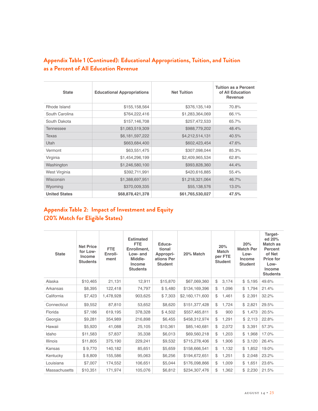# **Appendix Table 1 (Continued): Educational Appropriations, Tuition, and Tuition as a Percent of All Education Revenue**

| <b>State</b>         | <b>Educational Appropriations</b> | <b>Net Tuition</b> |       |
|----------------------|-----------------------------------|--------------------|-------|
| Rhode Island         | \$155,158,564                     | \$376,135,149      | 70.8% |
| South Carolina       | \$764,222,416                     | \$1,283,364,069    | 66.1% |
| South Dakota         | \$157,146,708                     | \$257,472,533      | 65.7% |
| <b>Tennessee</b>     | \$1,083,519,309                   | \$988,779,202      | 48.4% |
| Texas                | \$6,181,597,222                   | \$4,212,514,131    | 40.5% |
| Utah                 | \$663,684,400                     | \$602,423,454      | 47.6% |
| Vermont              | \$63,551,475                      | \$307,098,044      | 85.3% |
| Virginia             | \$1,454,296,199                   | \$2,409,965,534    | 62.8% |
| Washington           | \$1,246,580,100                   | \$993,828,360      | 44.4% |
| West Virginia        | \$392,711,991                     | \$420,616,885      | 55.4% |
| Wisconsin            | \$1,388,697,951                   | \$1,218,321,064    | 46.7% |
| Wyoming              | \$370,009,335                     | \$55,138,576       | 13.0% |
| <b>United States</b> | \$68,878,421,378                  | \$61,765,530,027   | 47.5% |

# **Appendix Table 2: Impact of Investment and Equity (20% Match for Eligible States)**

| <b>State</b>         | <b>Net Price</b><br>for Low-<br>Income<br><b>Students</b> | <b>FTE</b><br>Enroll-<br>ment | <b>Estimated</b><br><b>FTE</b><br>Enrollment,<br>Low- and<br>Middle-<br>Income<br><b>Students</b> | Educa-<br>tional<br>Appropri-<br>ations Per<br><b>Student</b> | 20% Match       | 20%<br><b>Match</b><br>per FTE<br><b>Student</b> | 20%<br><b>Match Per</b><br>Low-<br>Income<br><b>Student</b> | Target-<br>ed 20%<br>Match as<br>Percent<br>of Net<br>Price for<br>Low-<br>Income<br><b>Students</b> |
|----------------------|-----------------------------------------------------------|-------------------------------|---------------------------------------------------------------------------------------------------|---------------------------------------------------------------|-----------------|--------------------------------------------------|-------------------------------------------------------------|------------------------------------------------------------------------------------------------------|
| Alaska               | \$10,465                                                  | 21,131                        | 12.911                                                                                            | \$15,870                                                      | \$67,069,360    | \$<br>3,174                                      | \$5,195                                                     | 49.6%                                                                                                |
| Arkansas             | \$8,395                                                   | 122,418                       | 74,797                                                                                            | \$5,480                                                       | \$134,169,396   | \$<br>1,096                                      | \$1,794                                                     | 21.4%                                                                                                |
| California           | \$7,423                                                   | 1,478,928                     | 903,625                                                                                           | \$7,303                                                       | \$2,160,171,600 | \$<br>1,461                                      | \$2,391                                                     | 32.2%                                                                                                |
| Connecticut          | \$9,552                                                   | 87,810                        | 53.652                                                                                            | \$8.620                                                       | \$151,377,428   | \$<br>1,724                                      | \$2,821                                                     | 29.5%                                                                                                |
| Florida              | \$7,186                                                   | 619,195                       | 378.328                                                                                           | \$4,502                                                       | \$557,465,811   | \$<br>900                                        | \$1,473                                                     | 20.5%                                                                                                |
| Georgia              | \$9,281                                                   | 354,989                       | 216,898                                                                                           | \$6,455                                                       | \$458,312,974   | \$<br>1,291                                      | \$2,113                                                     | 22.8%                                                                                                |
| Hawaii               | \$5,920                                                   | 41,088                        | 25,105                                                                                            | \$10,361                                                      | \$85,140,681    | \$<br>2,072                                      | \$3,391                                                     | 57.3%                                                                                                |
| Idaho                | \$11,583                                                  | 57,837                        | 35,338                                                                                            | \$6,013                                                       | \$69,560,218    | \$<br>1,203                                      | \$1,968                                                     | 17.0%                                                                                                |
| Illinois             | \$11,805                                                  | 375,190                       | 229,241                                                                                           | \$9,532                                                       | \$715,278,406   | \$<br>1,906                                      | \$3,120                                                     | 26.4%                                                                                                |
| Kansas               | \$9,770                                                   | 140,182                       | 85,651                                                                                            | \$5,659                                                       | \$158,666,541   | \$<br>1,132                                      | \$1,852                                                     | 19.0%                                                                                                |
| Kentucky             | \$8,809                                                   | 155,586                       | 95,063                                                                                            | \$6,256                                                       | \$194,672,651   | \$<br>1,251                                      | \$2,048                                                     | 23.2%                                                                                                |
| Louisiana            | \$7,007                                                   | 174,552                       | 106,651                                                                                           | \$5,044                                                       | \$176,098,866   | \$<br>1,009                                      | \$1,651                                                     | 23.6%                                                                                                |
| <b>Massachusetts</b> | \$10,351                                                  | 171,974                       | 105,076                                                                                           | \$6,812                                                       | \$234,307,476   | \$<br>1,362                                      | \$2,230                                                     | 21.5%                                                                                                |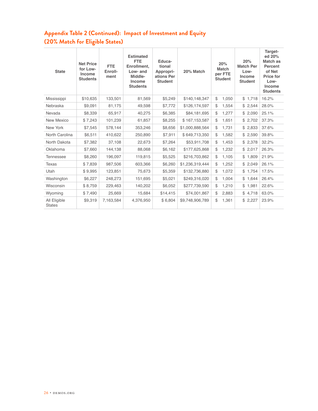# **Appendix Table 2 (Continued): Impact of Investment and Equity (20% Match for Eligible States)**

| <b>State</b>                  | <b>Net Price</b><br>for Low-<br><b>Income</b><br><b>Students</b> | <b>FTE</b><br>Enroll-<br>ment | <b>Estimated</b><br><b>FTE</b><br>Enrollment.<br>Low- and<br>Middle-<br>Income<br><b>Students</b> | Educa-<br>tional<br>Appropri-<br>ations Per<br><b>Student</b> | 20% Match       | 20%<br><b>Match</b><br>per FTE<br><b>Student</b> | 20%<br><b>Match Per</b><br>Low-<br>Income<br><b>Student</b> | Target-<br>ed 20%<br>Match as<br>Percent<br>of Net<br>Price for<br>Low-<br>Income<br><b>Students</b> |
|-------------------------------|------------------------------------------------------------------|-------------------------------|---------------------------------------------------------------------------------------------------|---------------------------------------------------------------|-----------------|--------------------------------------------------|-------------------------------------------------------------|------------------------------------------------------------------------------------------------------|
| Mississippi                   | \$10,635                                                         | 133,501                       | 81,569                                                                                            | \$5,249                                                       | \$140,148,347   | \$<br>1,050                                      | \$1,718                                                     | 16.2%                                                                                                |
| Nebraska                      | \$9,091                                                          | 81,175                        | 49,598                                                                                            | \$7,772                                                       | \$126,174,597   | \$<br>1,554                                      | \$2,544                                                     | 28.0%                                                                                                |
| Nevada                        | \$8,339                                                          | 65,917                        | 40,275                                                                                            | \$6,385                                                       | \$84,181,695    | \$<br>1,277                                      | \$2,090                                                     | 25.1%                                                                                                |
| New Mexico                    | \$7,243                                                          | 101,239                       | 61,857                                                                                            | \$8,255                                                       | \$167,153,587   | \$<br>1,651                                      | \$2,702                                                     | 37.3%                                                                                                |
| New York                      | \$7,545                                                          | 578,144                       | 353,246                                                                                           | \$8,656                                                       | \$1,000,888,564 | \$<br>1,731                                      | \$2,833                                                     | 37.6%                                                                                                |
| North Carolina                | \$6,511                                                          | 410,622                       | 250,890                                                                                           | \$7,911                                                       | \$649,713,350   | \$<br>1,582                                      | \$2,590                                                     | 39.8%                                                                                                |
| North Dakota                  | \$7,382                                                          | 37,108                        | 22,673                                                                                            | \$7,264                                                       | \$53,911,708    | \$<br>1,453                                      | \$2,378                                                     | 32.2%                                                                                                |
| Oklahoma                      | \$7,660                                                          | 144,138                       | 88,068                                                                                            | \$6,162                                                       | \$177,625,868   | \$<br>1,232                                      | \$2,017                                                     | 26.3%                                                                                                |
| <b>Tennessee</b>              | \$8,260                                                          | 196,097                       | 119,815                                                                                           | \$5,525                                                       | \$216,703,862   | \$<br>1,105                                      | \$1,809                                                     | 21.9%                                                                                                |
| Texas                         | \$7,839                                                          | 987,506                       | 603,366                                                                                           | \$6,260                                                       | \$1,236,319,444 | \$<br>1,252                                      | \$2,049                                                     | 26.1%                                                                                                |
| Utah                          | \$9,995                                                          | 123,851                       | 75,673                                                                                            | \$5,359                                                       | \$132,736,880   | \$<br>1,072                                      | \$1,754                                                     | 17.5%                                                                                                |
| Washington                    | \$6,227                                                          | 248,273                       | 151,695                                                                                           | \$5,021                                                       | \$249,316,020   | \$<br>1,004                                      | \$1,644                                                     | 26.4%                                                                                                |
| Wisconsin                     | \$8,759                                                          | 229,463                       | 140,202                                                                                           | \$6,052                                                       | \$277,739,590   | \$<br>1,210                                      | \$1,981                                                     | 22.6%                                                                                                |
| Wyoming                       | \$7,490                                                          | 25,669                        | 15,684                                                                                            | \$14,415                                                      | \$74,001,867    | \$<br>2,883                                      | \$4,718                                                     | 63.0%                                                                                                |
| All Eligible<br><b>States</b> | \$9,319                                                          | 7,163,584                     | 4,376,950                                                                                         | \$6,804                                                       | \$9,748,906,789 | \$<br>1,361                                      | \$2,227                                                     | 23.9%                                                                                                |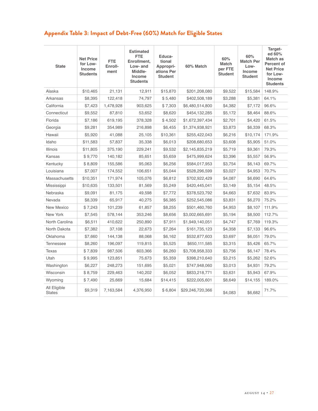# **Appendix Table 3: Impact of Debt-Free (60%) Match for Eligible States**

| <b>State</b>                  | <b>Net Price</b><br>for Low-<br><b>Income</b><br><b>Students</b> | FTE.<br>Enroll-<br>ment | <b>Estimated</b><br><b>FTE</b><br>Enrollment,<br>Low- and<br>Middle-<br>Income<br><b>Students</b> | Educa-<br>tional<br>Appropri-<br>ations Per<br><b>Student</b> | 60% Match        | 60%<br>Match<br>per FTE<br><b>Student</b> | 60%<br><b>Match Per</b><br>Low-<br>Income<br><b>Student</b> | Target-<br>ed 60%<br>Match as<br>Percent of<br><b>Net Price</b><br>for Low-<br>Income<br><b>Students</b> |
|-------------------------------|------------------------------------------------------------------|-------------------------|---------------------------------------------------------------------------------------------------|---------------------------------------------------------------|------------------|-------------------------------------------|-------------------------------------------------------------|----------------------------------------------------------------------------------------------------------|
| Alaska                        | \$10,465                                                         | 21,131                  | 12.911                                                                                            | \$15,870                                                      | \$201,208,080    | \$9.522                                   | \$15,584                                                    | 148.9%                                                                                                   |
| Arkansas                      | \$8,395                                                          | 122,418                 | 74,797                                                                                            | \$5,480                                                       | \$402,508,189    | \$3,288                                   | \$5,381                                                     | 64.1%                                                                                                    |
| California                    | \$7,423                                                          | 1,478,928               | 903,625                                                                                           | \$7,303                                                       | \$6,480,514,800  | \$4,382                                   | \$7,172                                                     | 96.6%                                                                                                    |
| Connecticut                   | \$9,552                                                          | 87,810                  | 53,652                                                                                            | \$8,620                                                       | \$454,132,285    | \$5,172                                   | \$8,464                                                     | 88.6%                                                                                                    |
| Florida                       | \$7,186                                                          | 619,195                 | 378,328                                                                                           | \$4,502                                                       | \$1,672,397,434  | \$2,701                                   | \$4,420                                                     | 61.5%                                                                                                    |
| Georgia                       | \$9,281                                                          | 354,989                 | 216,898                                                                                           | \$6,455                                                       | \$1,374,938,921  | \$3,873                                   | \$6,339                                                     | 68.3%                                                                                                    |
| Hawaii                        | \$5,920                                                          | 41,088                  | 25,105                                                                                            | \$10,361                                                      | \$255,422,043    | \$6,216                                   | \$10,174                                                    | 171.9%                                                                                                   |
| Idaho                         | \$11,583                                                         | 57,837                  | 35,338                                                                                            | \$6,013                                                       | \$208,680,653    | \$3,608                                   | \$5,905                                                     | 51.0%                                                                                                    |
| <b>Illinois</b>               | \$11,805                                                         | 375,190                 | 229,241                                                                                           | \$9,532                                                       | \$2,145,835,219  | \$5,719                                   | \$9,361                                                     | 79.3%                                                                                                    |
| Kansas                        | \$9,770                                                          | 140,182                 | 85,651                                                                                            | \$5,659                                                       | \$475,999,624    | \$3,396                                   | \$5,557                                                     | 56.9%                                                                                                    |
| Kentucky                      | \$8,809                                                          | 155,586                 | 95,063                                                                                            | \$6,256                                                       | \$584,017,953    | \$3,754                                   | \$6,143                                                     | 69.7%                                                                                                    |
| Louisiana                     | \$7,007                                                          | 174,552                 | 106,651                                                                                           | \$5,044                                                       | \$528,296,599    | \$3,027                                   | \$4,953                                                     | 70.7%                                                                                                    |
| Massachusetts                 | \$10,351                                                         | 171,974                 | 105,076                                                                                           | \$6,812                                                       | \$702,922,429    | \$4,087                                   | \$6,690                                                     | 64.6%                                                                                                    |
| Mississippi                   | \$10,635                                                         | 133,501                 | 81,569                                                                                            | \$5,249                                                       | \$420,445,041    | \$3,149                                   | \$5,154                                                     | 48.5%                                                                                                    |
| Nebraska                      | \$9,091                                                          | 81,175                  | 49,598                                                                                            | \$7,772                                                       | \$378,523,792    | \$4,663                                   | \$7,632                                                     | 83.9%                                                                                                    |
| Nevada                        | \$8,339                                                          | 65,917                  | 40,275                                                                                            | \$6,385                                                       | \$252,545,086    | \$3,831                                   | \$6,270                                                     | 75.2%                                                                                                    |
| New Mexico                    | \$7,243                                                          | 101,239                 | 61,857                                                                                            | \$8,255                                                       | \$501,460,760    | \$4,953                                   | \$8,107                                                     | 111.9%                                                                                                   |
| New York                      | \$7,545                                                          | 578,144                 | 353,246                                                                                           | \$8,656                                                       | \$3,002,665,691  | \$5,194                                   | \$8,500                                                     | 112.7%                                                                                                   |
| North Carolina                | \$6,511                                                          | 410,622                 | 250,890                                                                                           | \$7,911                                                       | \$1,949,140,051  | \$4,747                                   | \$7,769                                                     | 119.3%                                                                                                   |
| North Dakota                  | \$7,382                                                          | 37,108                  | 22,673                                                                                            | \$7,264                                                       | \$161,735,123    | \$4,358                                   | \$7,133                                                     | 96.6%                                                                                                    |
| Oklahoma                      | \$7,660                                                          | 144,138                 | 88,068                                                                                            | \$6,162                                                       | \$532,877,603    | \$3,697                                   | \$6,051                                                     | 79.0%                                                                                                    |
| <b>Tennessee</b>              | \$8,260                                                          | 196,097                 | 119,815                                                                                           | \$5,525                                                       | \$650,111,585    | \$3,315                                   | \$5,426                                                     | 65.7%                                                                                                    |
| Texas                         | \$7,839                                                          | 987,506                 | 603,366                                                                                           | \$6,260                                                       | \$3,708,958,333  | \$3,756                                   | \$6,147                                                     | 78.4%                                                                                                    |
| Utah                          | \$9,995                                                          | 123,851                 | 75,673                                                                                            | \$5,359                                                       | \$398,210,640    | \$3,215                                   | \$5,262                                                     | 52.6%                                                                                                    |
| Washington                    | \$6,227                                                          | 248,273                 | 151,695                                                                                           | \$5,021                                                       | \$747,948,060    | \$3,013                                   | \$4,931                                                     | 79.2%                                                                                                    |
| Wisconsin                     | \$8,759                                                          | 229,463                 | 140,202                                                                                           | \$6,052                                                       | \$833,218,771    | \$3,631                                   | \$5,943                                                     | 67.9%                                                                                                    |
| Wyoming                       | \$7,490                                                          | 25,669                  | 15,684                                                                                            | \$14,415                                                      | \$222,005,601    | \$8,649                                   | \$14,155                                                    | 189.0%                                                                                                   |
| All Eligible<br><b>States</b> | \$9,319                                                          | 7,163,584               | 4,376,950                                                                                         | \$6,804                                                       | \$29,246,720,366 | \$4,083                                   | \$6,682                                                     | 71.7%                                                                                                    |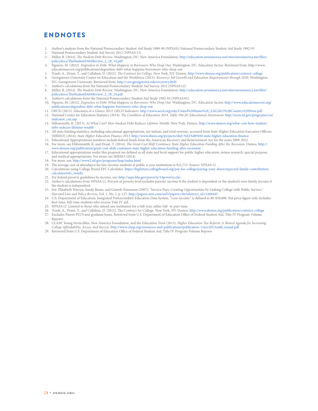# ENDNOTES

- 1. Author's analysis from the National Postsecondary Student Aid Study 1989-90 (NPSAS); National Postsecondary Student Aid Study 1992-93
- 
- 2. National Postsecondary Student Aid Survey 2012 (NPSAS:12) 3. Miller, B. (2014). *The Student Debt Review*. Washington, DC: New America Foundation. http://education.newamerica.net/sites/newamerica.net/files/ policydocs/TheStudentDebtReview\_2\_18\_14.pdf
- 4. Nguyen, M. (2012). *Degreeless in Debt: What Happens to Borrowers Who Drop Out.* Washington, DC: Education Sector. Retrieved from: http://www. educationsector.org/publications/degreeless-debt-what-happens-borrowers-who-drop-out
- 5. Traub, A., Draut, T., and Callahan, D. (2012). *The Contract for College*. New York, NY: Demos. http://www.demos.org/publication/contract-college
- 6. Georgetown University Center on Education and the Workforce (2013). *Recovery: Job Growth and Education Requirements through 2020*. Washington, DC: Georgetown University. Retrieved from: http://cew.georgetown.edu/recovery2020
- 7. Author's calculations from the National Postsecondary Student Aid Survey 2012 (NPSAS:12)
- 8. Miller, B. (2014). *The Student Debt Review*. Washington, DC: New America Foundation. http://education.newamerica.net/sites/newamerica.net/files/ policydocs/TheStudentDebtReview\_2\_18\_14.pdf
- 9. Author's calculations from the National Postsecondary Student Aid Study 1992-93 (NPSAS:93)
- 10. Nguyen, M. (2012). *Degreeless in Debt: What Happens to Borrowers Who Drop Out*. Washington, DC: Education Sector. http://www.educationsector.org/ publications/degreeless-debt-what-happens-borrowers-who-drop-out
- 11. OECD (2013). *Education at a Glance 2013: OECD Indicators*. http://www.oecd.org/edu/United%20States%20\_EAG2013%20Country%20Note.pdf
- 12. National Center for Education Statistics (2014). *The Condition of Education 2014. Table 104.20: Educational Attainment*. http://nces.ed.gov/programs/coe/ indicator\_caa.asp
- 13. Hiltonsmith, R. (2013). *At What Cost? How Student Debt Reduces Lifetime Wealth*. New York: Demos. http://www.demos.org/what-cost-how-studentdebt-reduces-lifetime-wealth
- 14. All state funding statistics, including educational appropriations, net tuition, and total revenue, accessed from State Higher Education Executive Officers [SHEEO] (2014). *State Higher Education Finance 2013*. http://www.sheeo.org/projects/shef-%E2%80%94-state-higher-education-finance
- 15. Educational Appropriations numbers include federal funds from the American Recovery and Reinvestment Act for the years 2009-2012. 16. For more, see Hiltonsmith, R. and Draut, T. (2014). *The Great Cost Shift Continues: State Higher Education Funding After the Recession*. Demos. http://
- www.demos.org/publication/great-cost-shift-continues-state-higher-education-funding-after-recession 17. Educational appropriations under this proposal are defined as all state and local support for public higher education, minus research, special purpose,
- and medical appropriations. For more, see SHEEO (2014).
- 18. For more, see: http://www2.ed.gov/programs/leap/index.html
- 19. The average cost of attendance for low-income students at public 4-year institutions is \$21,713. Source: NPSAS:12
- 20. Calculations using College Board EFC Calculator. https://bigfuture.collegeboard.org/pay-for-college/paying-your-share/expected-family-contributioncalculator#efc\_results
- 21. For federal poverty guidelines by income, see: http://aspe.hhs.gov/poverty/14poverty.cfm
- 22. Author's calculations from NPSAS:12. Percent of poverty level includes parents' income if the student is dependent or the student's own family income if the student is independent.
- "Service Pays: Creating Opportunities by Linking College with Public Service."<br>Harvard Law and Policy Review, Vol. 1, No. 1, p. 127. http://papers.ssrn.com/sol3/papers.cfm?abstract\_id=1269443
- 24. U.S. Department of Education, Integrated Postsecondary Education Data System. "Low-income" is defined as \$0-\$30,000. Net price figure only includes first-time, full-time students who receive Title IV aid.
- 25. NPSAS:12. Limited to those who attend one institution for a full-year, either full- or part-time.
- 26. Traub, A., Draut, T., and Callahan, D. (2012). The Contract for College. New York, NY: Demos. http://www.demos.org/publication/contract-college
- 27. Excludes Parent PLUS and graduate loans. Retrieved from U.S. Department of Education Office of Federal Student Aid, Title IV Program Volume Reports
- 28. CLASP, Young Invincibles, New America Foundation, and the Education Trust (2013). *Higher Education Tax Reform: A Shared Agenda for Increasing College Affordability, Access, and Success.* http://www.clasp.org/resources-and-publications/publication-1/nov2013radd\_taxaid.pdf
- 29. Retrieved from U.S. Department of Education Office of Federal Student Aid, Title IV Program Volume Reports